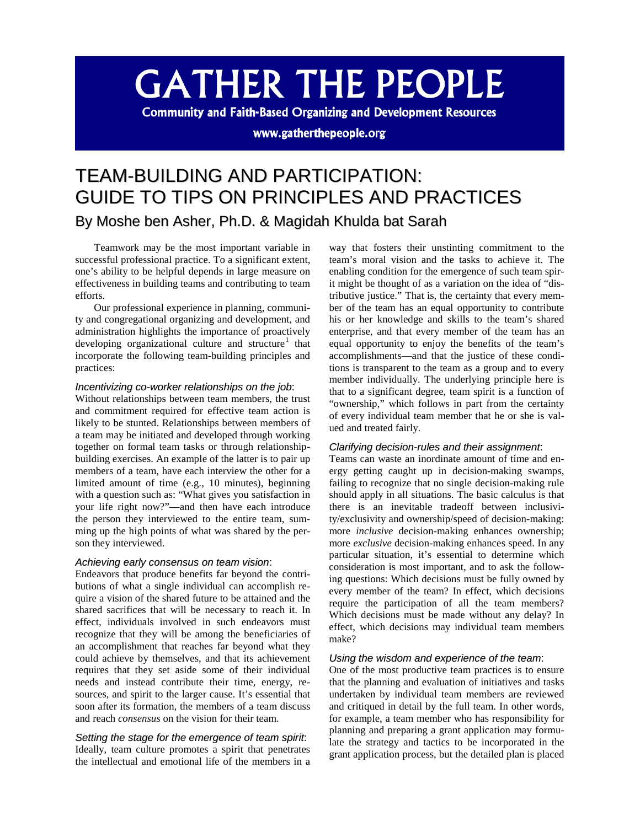# **GATHER THE PEOPLE**

**Community and Faith-Based Organizing and Development Resources** 

www.gatherthepeople.org

# TEAM-BUILDING AND PARTICIPATION: GUIDE TO TIPS ON PRINCIPLES AND PRACTICES By Moshe ben Asher, Ph.D. & Magidah Khulda bat Sarah

Teamwork may be the most important variable in successful professional practice. To a significant extent, one's ability to be helpful depends in large measure on effectiveness in building teams and contributing to team efforts.

Our professional experience in planning, community and congregational organizing and development, and administration highlights the importance of proactively developing organizational culture and structure<sup>[1](#page-9-0)</sup> that incorporate the following team-building principles and practices:

#### *Incentivizing co-worker relationships on the job*:

Without relationships between team members, the trust and commitment required for effective team action is likely to be stunted. Relationships between members of a team may be initiated and developed through working together on formal team tasks or through relationshipbuilding exercises. An example of the latter is to pair up members of a team, have each interview the other for a limited amount of time (e.g., 10 minutes), beginning with a question such as: "What gives you satisfaction in your life right now?"—and then have each introduce the person they interviewed to the entire team, summing up the high points of what was shared by the person they interviewed.

#### *Achieving early consensus on team vision*:

Endeavors that produce benefits far beyond the contributions of what a single individual can accomplish require a vision of the shared future to be attained and the shared sacrifices that will be necessary to reach it. In effect, individuals involved in such endeavors must recognize that they will be among the beneficiaries of an accomplishment that reaches far beyond what they could achieve by themselves, and that its achievement requires that they set aside some of their individual needs and instead contribute their time, energy, resources, and spirit to the larger cause. It's essential that soon after its formation, the members of a team discuss and reach *consensus* on the vision for their team.

#### *Setting the stage for the emergence of team spirit*:

Ideally, team culture promotes a spirit that penetrates the intellectual and emotional life of the members in a

way that fosters their unstinting commitment to the team's moral vision and the tasks to achieve it. The enabling condition for the emergence of such team spirit might be thought of as a variation on the idea of "distributive justice." That is, the certainty that every member of the team has an equal opportunity to contribute his or her knowledge and skills to the team's shared enterprise, and that every member of the team has an equal opportunity to enjoy the benefits of the team's accomplishments—and that the justice of these conditions is transparent to the team as a group and to every member individually. The underlying principle here is that to a significant degree, team spirit is a function of "ownership," which follows in part from the certainty of every individual team member that he or she is valued and treated fairly.

#### *Clarifying decision-rules and their assignment*:

Teams can waste an inordinate amount of time and energy getting caught up in decision-making swamps, failing to recognize that no single decision-making rule should apply in all situations. The basic calculus is that there is an inevitable tradeoff between inclusivity/exclusivity and ownership/speed of decision-making: more *inclusive* decision-making enhances ownership; more *exclusive* decision-making enhances speed. In any particular situation, it's essential to determine which consideration is most important, and to ask the following questions: Which decisions must be fully owned by every member of the team? In effect, which decisions require the participation of all the team members? Which decisions must be made without any delay? In effect, which decisions may individual team members make?

#### *Using the wisdom and experience of the team*:

One of the most productive team practices is to ensure that the planning and evaluation of initiatives and tasks undertaken by individual team members are reviewed and critiqued in detail by the full team. In other words, for example, a team member who has responsibility for planning and preparing a grant application may formulate the strategy and tactics to be incorporated in the grant application process, but the detailed plan is placed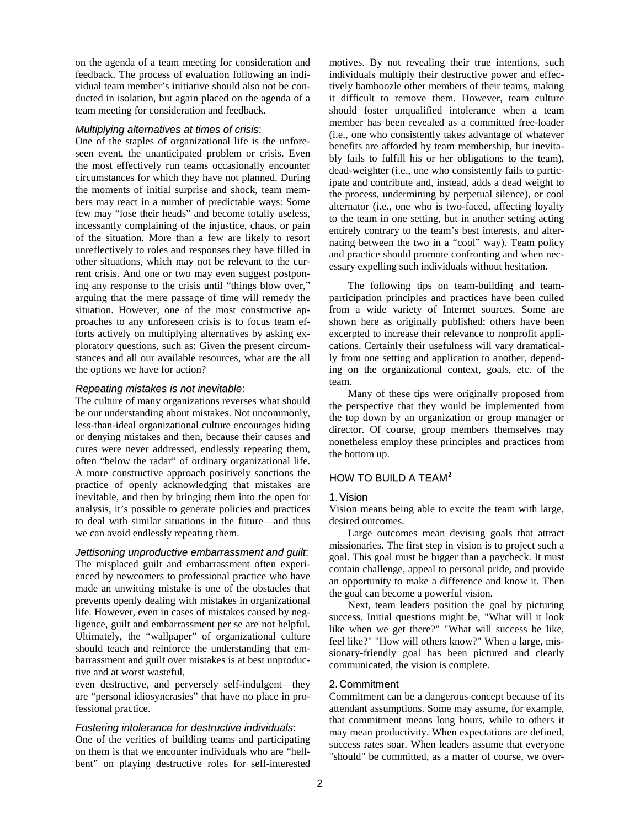on the agenda of a team meeting for consideration and feedback. The process of evaluation following an individual team member's initiative should also not be conducted in isolation, but again placed on the agenda of a team meeting for consideration and feedback.

#### *Multiplying alternatives at times of crisis*:

One of the staples of organizational life is the unforeseen event, the unanticipated problem or crisis. Even the most effectively run teams occasionally encounter circumstances for which they have not planned. During the moments of initial surprise and shock, team members may react in a number of predictable ways: Some few may "lose their heads" and become totally useless, incessantly complaining of the injustice, chaos, or pain of the situation. More than a few are likely to resort unreflectively to roles and responses they have filled in other situations, which may not be relevant to the current crisis. And one or two may even suggest postponing any response to the crisis until "things blow over," arguing that the mere passage of time will remedy the situation. However, one of the most constructive approaches to any unforeseen crisis is to focus team efforts actively on multiplying alternatives by asking exploratory questions, such as: Given the present circumstances and all our available resources, what are the all the options we have for action?

#### *Repeating mistakes is not inevitable*:

The culture of many organizations reverses what should be our understanding about mistakes. Not uncommonly, less-than-ideal organizational culture encourages hiding or denying mistakes and then, because their causes and cures were never addressed, endlessly repeating them, often "below the radar" of ordinary organizational life. A more constructive approach positively sanctions the practice of openly acknowledging that mistakes are inevitable, and then by bringing them into the open for analysis, it's possible to generate policies and practices to deal with similar situations in the future—and thus we can avoid endlessly repeating them.

*Jettisoning unproductive embarrassment and guilt*: The misplaced guilt and embarrassment often experienced by newcomers to professional practice who have made an unwitting mistake is one of the obstacles that prevents openly dealing with mistakes in organizational life. However, even in cases of mistakes caused by negligence, guilt and embarrassment per se are not helpful. Ultimately, the "wallpaper" of organizational culture should teach and reinforce the understanding that embarrassment and guilt over mistakes is at best unproductive and at worst wasteful,

even destructive, and perversely self-indulgent—they are "personal idiosyncrasies" that have no place in professional practice.

#### *Fostering intolerance for destructive individuals*:

One of the verities of building teams and participating on them is that we encounter individuals who are "hellbent" on playing destructive roles for self-interested

motives. By not revealing their true intentions, such individuals multiply their destructive power and effectively bamboozle other members of their teams, making it difficult to remove them. However, team culture should foster unqualified intolerance when a team member has been revealed as a committed free-loader (i.e., one who consistently takes advantage of whatever benefits are afforded by team membership, but inevitably fails to fulfill his or her obligations to the team), dead-weighter (i.e., one who consistently fails to participate and contribute and, instead, adds a dead weight to the process, undermining by perpetual silence), or cool alternator (i.e., one who is two-faced, affecting loyalty to the team in one setting, but in another setting acting entirely contrary to the team's best interests, and alternating between the two in a "cool" way). Team policy and practice should promote confronting and when necessary expelling such individuals without hesitation.

The following tips on team-building and teamparticipation principles and practices have been culled from a wide variety of Internet sources. Some are shown here as originally published; others have been excerpted to increase their relevance to nonprofit applications. Certainly their usefulness will vary dramatically from one setting and application to another, depending on the organizational context, goals, etc. of the team.

Many of these tips were originally proposed from the perspective that they would be implemented from the top down by an organization or group manager or director. Of course, group members themselves may nonetheless employ these principles and practices from the bottom up.

#### HOW TO BUILD A TEAM**[2](#page-9-1)**

#### 1. Vision

Vision means being able to excite the team with large, desired outcomes.

Large outcomes mean devising goals that attract missionaries. The first step in vision is to project such a goal. This goal must be bigger than a paycheck. It must contain challenge, appeal to personal pride, and provide an opportunity to make a difference and know it. Then the goal can become a powerful vision.

Next, team leaders position the goal by picturing success. Initial questions might be, "What will it look like when we get there?" "What will success be like, feel like?" "How will others know?" When a large, missionary-friendly goal has been pictured and clearly communicated, the vision is complete.

#### 2. Commitment

Commitment can be a dangerous concept because of its attendant assumptions. Some may assume, for example, that commitment means long hours, while to others it may mean productivity. When expectations are defined, success rates soar. When leaders assume that everyone "should" be committed, as a matter of course, we over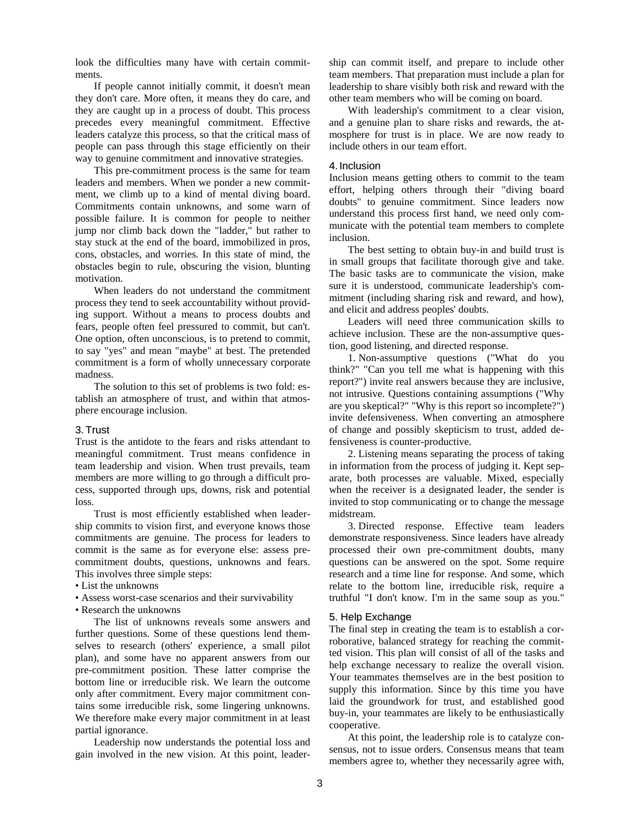look the difficulties many have with certain commitments.

If people cannot initially commit, it doesn't mean they don't care. More often, it means they do care, and they are caught up in a process of doubt. This process precedes every meaningful commitment. Effective leaders catalyze this process, so that the critical mass of people can pass through this stage efficiently on their way to genuine commitment and innovative strategies.

This pre-commitment process is the same for team leaders and members. When we ponder a new commitment, we climb up to a kind of mental diving board. Commitments contain unknowns, and some warn of possible failure. It is common for people to neither jump nor climb back down the "ladder," but rather to stay stuck at the end of the board, immobilized in pros, cons, obstacles, and worries. In this state of mind, the obstacles begin to rule, obscuring the vision, blunting motivation.

When leaders do not understand the commitment process they tend to seek accountability without providing support. Without a means to process doubts and fears, people often feel pressured to commit, but can't. One option, often unconscious, is to pretend to commit, to say "yes" and mean "maybe" at best. The pretended commitment is a form of wholly unnecessary corporate madness.

The solution to this set of problems is two fold: establish an atmosphere of trust, and within that atmosphere encourage inclusion.

#### 3. Trust

Trust is the antidote to the fears and risks attendant to meaningful commitment. Trust means confidence in team leadership and vision. When trust prevails, team members are more willing to go through a difficult process, supported through ups, downs, risk and potential loss.

Trust is most efficiently established when leadership commits to vision first, and everyone knows those commitments are genuine. The process for leaders to commit is the same as for everyone else: assess precommitment doubts, questions, unknowns and fears. This involves three simple steps:

- List the unknowns
- Assess worst-case scenarios and their survivability
- Research the unknowns

The list of unknowns reveals some answers and further questions. Some of these questions lend themselves to research (others' experience, a small pilot plan), and some have no apparent answers from our pre-commitment position. These latter comprise the bottom line or irreducible risk. We learn the outcome only after commitment. Every major commitment contains some irreducible risk, some lingering unknowns. We therefore make every major commitment in at least partial ignorance.

Leadership now understands the potential loss and gain involved in the new vision. At this point, leadership can commit itself, and prepare to include other team members. That preparation must include a plan for leadership to share visibly both risk and reward with the other team members who will be coming on board.

With leadership's commitment to a clear vision, and a genuine plan to share risks and rewards, the atmosphere for trust is in place. We are now ready to include others in our team effort.

#### 4. Inclusion

Inclusion means getting others to commit to the team effort, helping others through their "diving board doubts" to genuine commitment. Since leaders now understand this process first hand, we need only communicate with the potential team members to complete inclusion.

The best setting to obtain buy-in and build trust is in small groups that facilitate thorough give and take. The basic tasks are to communicate the vision, make sure it is understood, communicate leadership's commitment (including sharing risk and reward, and how), and elicit and address peoples' doubts.

Leaders will need three communication skills to achieve inclusion. These are the non-assumptive question, good listening, and directed response.

1. Non-assumptive questions ("What do you think?" "Can you tell me what is happening with this report?") invite real answers because they are inclusive, not intrusive. Questions containing assumptions ("Why are you skeptical?" "Why is this report so incomplete?") invite defensiveness. When converting an atmosphere of change and possibly skepticism to trust, added defensiveness is counter-productive.

2. Listening means separating the process of taking in information from the process of judging it. Kept separate, both processes are valuable. Mixed, especially when the receiver is a designated leader, the sender is invited to stop communicating or to change the message midstream.

3. Directed response. Effective team leaders demonstrate responsiveness. Since leaders have already processed their own pre-commitment doubts, many questions can be answered on the spot. Some require research and a time line for response. And some, which relate to the bottom line, irreducible risk, require a truthful "I don't know. I'm in the same soup as you."

#### 5. Help Exchange

The final step in creating the team is to establish a corroborative, balanced strategy for reaching the committed vision. This plan will consist of all of the tasks and help exchange necessary to realize the overall vision. Your teammates themselves are in the best position to supply this information. Since by this time you have laid the groundwork for trust, and established good buy-in, your teammates are likely to be enthusiastically cooperative.

At this point, the leadership role is to catalyze consensus, not to issue orders. Consensus means that team members agree to, whether they necessarily agree with,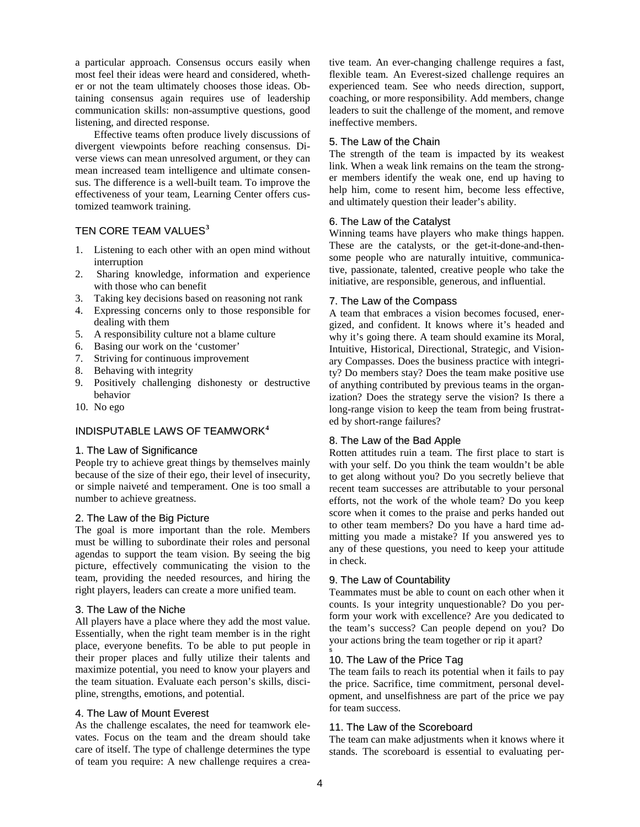a particular approach. Consensus occurs easily when most feel their ideas were heard and considered, whether or not the team ultimately chooses those ideas. Obtaining consensus again requires use of leadership communication skills: non-assumptive questions, good listening, and directed response.

Effective teams often produce lively discussions of divergent viewpoints before reaching consensus. Diverse views can mean unresolved argument, or they can mean increased team intelligence and ultimate consensus. The difference is a well-built team. To improve the effectiveness of your team, Learning Center offers customized teamwork training.

# TEN CORE TEAM VALUES**[3](#page-9-2)**

- 1. Listening to each other with an open mind without interruption
- 2. Sharing knowledge, information and experience with those who can benefit
- 3. Taking key decisions based on reasoning not rank
- 4. Expressing concerns only to those responsible for dealing with them
- 5. A responsibility culture not a blame culture
- 6. Basing our work on the 'customer'
- 7. Striving for continuous improvement
- 8. Behaving with integrity
- 9. Positively challenging dishonesty or destructive behavior
- 10. No ego

# INDISPUTABLE LAWS OF TEAMWORK**[4](#page-9-3)**

#### 1. The Law of Significance

People try to achieve great things by themselves mainly because of the size of their ego, their level of insecurity, or simple naiveté and temperament. One is too small a number to achieve greatness.

#### 2. The Law of the Big Picture

The goal is more important than the role. Members must be willing to subordinate their roles and personal agendas to support the team vision. By seeing the big picture, effectively communicating the vision to the team, providing the needed resources, and hiring the right players, leaders can create a more unified team.

#### 3. The Law of the Niche

All players have a place where they add the most value. Essentially, when the right team member is in the right place, everyone benefits. To be able to put people in their proper places and fully utilize their talents and maximize potential, you need to know your players and the team situation. Evaluate each person's skills, discipline, strengths, emotions, and potential.

#### 4. The Law of Mount Everest

As the challenge escalates, the need for teamwork elevates. Focus on the team and the dream should take care of itself. The type of challenge determines the type of team you require: A new challenge requires a creative team. An ever-changing challenge requires a fast, flexible team. An Everest-sized challenge requires an experienced team. See who needs direction, support, coaching, or more responsibility. Add members, change leaders to suit the challenge of the moment, and remove ineffective members.

#### 5. The Law of the Chain

The strength of the team is impacted by its weakest link. When a weak link remains on the team the stronger members identify the weak one, end up having to help him, come to resent him, become less effective, and ultimately question their leader's ability.

#### 6. The Law of the Catalyst

Winning teams have players who make things happen. These are the catalysts, or the get-it-done-and-thensome people who are naturally intuitive, communicative, passionate, talented, creative people who take the initiative, are responsible, generous, and influential.

#### 7. The Law of the Compass

A team that embraces a vision becomes focused, energized, and confident. It knows where it's headed and why it's going there. A team should examine its Moral, Intuitive, Historical, Directional, Strategic, and Visionary Compasses. Does the business practice with integrity? Do members stay? Does the team make positive use of anything contributed by previous teams in the organization? Does the strategy serve the vision? Is there a long-range vision to keep the team from being frustrated by short-range failures?

#### 8. The Law of the Bad Apple

Rotten attitudes ruin a team. The first place to start is with your self. Do you think the team wouldn't be able to get along without you? Do you secretly believe that recent team successes are attributable to your personal efforts, not the work of the whole team? Do you keep score when it comes to the praise and perks handed out to other team members? Do you have a hard time admitting you made a mistake? If you answered yes to any of these questions, you need to keep your attitude in check.

#### 9. The Law of Countability

Teammates must be able to count on each other when it counts. Is your integrity unquestionable? Do you perform your work with excellence? Are you dedicated to the team's success? Can people depend on you? Do your actions bring the team together or rip it apart?

#### 10. The Law of the Price Tag

The team fails to reach its potential when it fails to pay the price. Sacrifice, time commitment, personal development, and unselfishness are part of the price we pay for team success.

# 11. The Law of the Scoreboard

The team can make adjustments when it knows where it stands. The scoreboard is essential to evaluating per-

s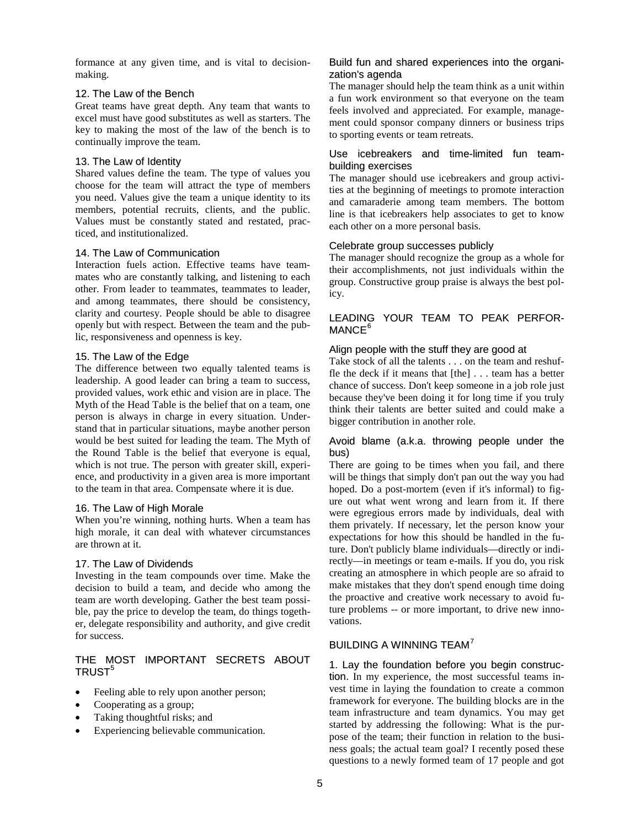formance at any given time, and is vital to decisionmaking.

## 12. The Law of the Bench

Great teams have great depth. Any team that wants to excel must have good substitutes as well as starters. The key to making the most of the law of the bench is to continually improve the team.

# 13. The Law of Identity

Shared values define the team. The type of values you choose for the team will attract the type of members you need. Values give the team a unique identity to its members, potential recruits, clients, and the public. Values must be constantly stated and restated, practiced, and institutionalized.

# 14. The Law of Communication

Interaction fuels action. Effective teams have teammates who are constantly talking, and listening to each other. From leader to teammates, teammates to leader, and among teammates, there should be consistency, clarity and courtesy. People should be able to disagree openly but with respect. Between the team and the public, responsiveness and openness is key.

#### 15. The Law of the Edge

The difference between two equally talented teams is leadership. A good leader can bring a team to success, provided values, work ethic and vision are in place. The Myth of the Head Table is the belief that on a team, one person is always in charge in every situation. Understand that in particular situations, maybe another person would be best suited for leading the team. The Myth of the Round Table is the belief that everyone is equal, which is not true. The person with greater skill, experience, and productivity in a given area is more important to the team in that area. Compensate where it is due.

#### 16. The Law of High Morale

When you're winning, nothing hurts. When a team has high morale, it can deal with whatever circumstances are thrown at it.

# 17. The Law of Dividends

Investing in the team compounds over time. Make the decision to build a team, and decide who among the team are worth developing. Gather the best team possible, pay the price to develop the team, do things together, delegate responsibility and authority, and give credit for success.

# THE MOST IMPORTANT SECRETS ABOUT TRUST<sup>[5](#page-9-4)</sup>

- Feeling able to rely upon another person;
- Cooperating as a group;
- Taking thoughtful risks; and
- Experiencing believable communication.

# Build fun and shared experiences into the organization's agenda

The manager should help the team think as a unit within a fun work environment so that everyone on the team feels involved and appreciated. For example, management could sponsor company dinners or business trips to sporting events or team retreats.

#### Use icebreakers and time-limited fun teambuilding exercises

The manager should use icebreakers and group activities at the beginning of meetings to promote interaction and camaraderie among team members. The bottom line is that icebreakers help associates to get to know each other on a more personal basis.

#### Celebrate group successes publicly

The manager should recognize the group as a whole for their accomplishments, not just individuals within the group. Constructive group praise is always the best policy.

## LEADING YOUR TEAM TO PEAK PERFOR-MANCE<sup>[6](#page-9-5)</sup>

#### Align people with the stuff they are good at

Take stock of all the talents . . . on the team and reshuffle the deck if it means that [the] . . . team has a better chance of success. Don't keep someone in a job role just because they've been doing it for long time if you truly think their talents are better suited and could make a bigger contribution in another role.

#### Avoid blame (a.k.a. throwing people under the bus)

There are going to be times when you fail, and there will be things that simply don't pan out the way you had hoped. Do a post-mortem (even if it's informal) to figure out what went wrong and learn from it. If there were egregious errors made by individuals, deal with them privately. If necessary, let the person know your expectations for how this should be handled in the future. Don't publicly blame individuals—directly or indirectly—in meetings or team e-mails. If you do, you risk creating an atmosphere in which people are so afraid to make mistakes that they don't spend enough time doing the proactive and creative work necessary to avoid future problems -- or more important, to drive new innovations.

# BUILDING A WINNING TEAM<sup>[7](#page-9-6)</sup>

1. Lay the foundation before you begin construction. In my experience, the most successful teams invest time in laying the foundation to create a common framework for everyone. The building blocks are in the team infrastructure and team dynamics. You may get started by addressing the following: What is the purpose of the team; their function in relation to the business goals; the actual team goal? I recently posed these questions to a newly formed team of 17 people and got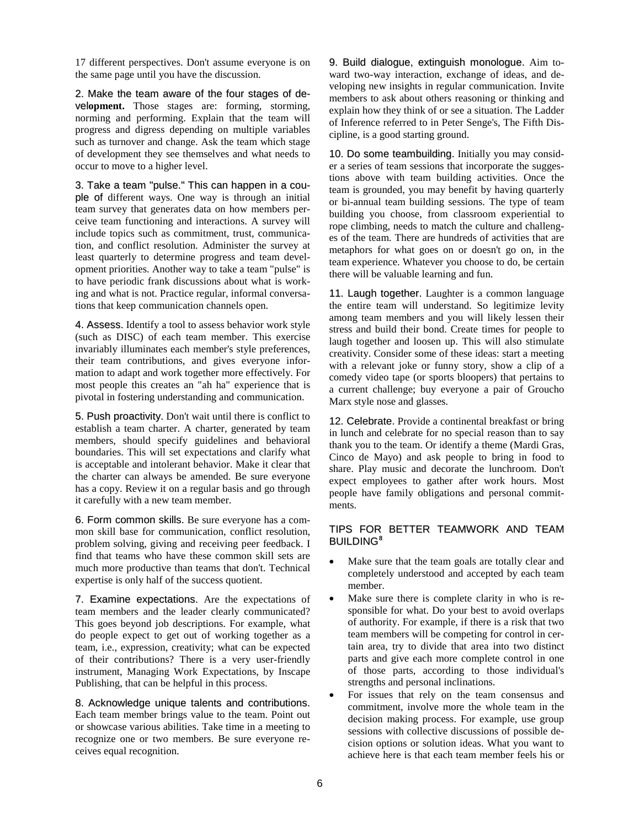17 different perspectives. Don't assume everyone is on the same page until you have the discussion.

2. Make the team aware of the four stages of devel**opment.** Those stages are: forming, storming, norming and performing. Explain that the team will progress and digress depending on multiple variables such as turnover and change. Ask the team which stage of development they see themselves and what needs to occur to move to a higher level.

3. Take a team "pulse." This can happen in a couple of different ways. One way is through an initial team survey that generates data on how members perceive team functioning and interactions. A survey will include topics such as commitment, trust, communication, and conflict resolution. Administer the survey at least quarterly to determine progress and team development priorities. Another way to take a team "pulse" is to have periodic frank discussions about what is working and what is not. Practice regular, informal conversations that keep communication channels open.

4. Assess. Identify a tool to assess behavior work style (such as DISC) of each team member. This exercise invariably illuminates each member's style preferences, their team contributions, and gives everyone information to adapt and work together more effectively. For most people this creates an "ah ha" experience that is pivotal in fostering understanding and communication.

5. Push proactivity. Don't wait until there is conflict to establish a team charter. A charter, generated by team members, should specify guidelines and behavioral boundaries. This will set expectations and clarify what is acceptable and intolerant behavior. Make it clear that the charter can always be amended. Be sure everyone has a copy. Review it on a regular basis and go through it carefully with a new team member.

6. Form common skills. Be sure everyone has a common skill base for communication, conflict resolution, problem solving, giving and receiving peer feedback. I find that teams who have these common skill sets are much more productive than teams that don't. Technical expertise is only half of the success quotient.

7. Examine expectations. Are the expectations of team members and the leader clearly communicated? This goes beyond job descriptions. For example, what do people expect to get out of working together as a team, i.e., expression, creativity; what can be expected of their contributions? There is a very user-friendly instrument, Managing Work Expectations, by Inscape Publishing, that can be helpful in this process.

8. Acknowledge unique talents and contributions. Each team member brings value to the team. Point out or showcase various abilities. Take time in a meeting to recognize one or two members. Be sure everyone receives equal recognition.

9. Build dialogue, extinguish monologue. Aim toward two-way interaction, exchange of ideas, and developing new insights in regular communication. Invite members to ask about others reasoning or thinking and explain how they think of or see a situation. The Ladder of Inference referred to in Peter Senge's, The Fifth Discipline, is a good starting ground.

10. Do some teambuilding. Initially you may consider a series of team sessions that incorporate the suggestions above with team building activities. Once the team is grounded, you may benefit by having quarterly or bi-annual team building sessions. The type of team building you choose, from classroom experiential to rope climbing, needs to match the culture and challenges of the team. There are hundreds of activities that are metaphors for what goes on or doesn't go on, in the team experience. Whatever you choose to do, be certain there will be valuable learning and fun.

11. Laugh together. Laughter is a common language the entire team will understand. So legitimize levity among team members and you will likely lessen their stress and build their bond. Create times for people to laugh together and loosen up. This will also stimulate creativity. Consider some of these ideas: start a meeting with a relevant joke or funny story, show a clip of a comedy video tape (or sports bloopers) that pertains to a current challenge; buy everyone a pair of Groucho Marx style nose and glasses.

12. Celebrate. Provide a continental breakfast or bring in lunch and celebrate for no special reason than to say thank you to the team. Or identify a theme (Mardi Gras, Cinco de Mayo) and ask people to bring in food to share. Play music and decorate the lunchroom. Don't expect employees to gather after work hours. Most people have family obligations and personal commitments.

#### TIPS FOR BETTER TEAMWORK AND TEAM BUILDING**[8](#page-9-7)**

- Make sure that the team goals are totally clear and completely understood and accepted by each team member.
- Make sure there is complete clarity in who is responsible for what. Do your best to avoid overlaps of authority. For example, if there is a risk that two team members will be competing for control in certain area, try to divide that area into two distinct parts and give each more complete control in one of those parts, according to those individual's strengths and personal inclinations.
- For issues that rely on the team consensus and commitment, involve more the whole team in the decision making process. For example, use group sessions with collective discussions of possible decision options or solution ideas. What you want to achieve here is that each team member feels his or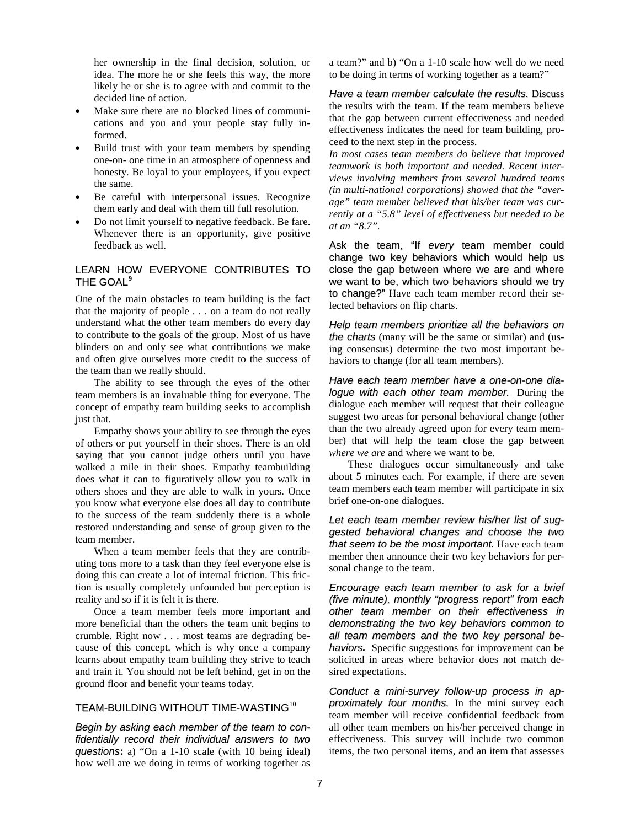her ownership in the final decision, solution, or idea. The more he or she feels this way, the more likely he or she is to agree with and commit to the decided line of action.

- Make sure there are no blocked lines of communications and you and your people stay fully informed.
- Build trust with your team members by spending one-on- one time in an atmosphere of openness and honesty. Be loyal to your employees, if you expect the same.
- Be careful with interpersonal issues. Recognize them early and deal with them till full resolution.
- Do not limit yourself to negative feedback. Be fare. Whenever there is an opportunity, give positive feedback as well.

# LEARN HOW EVERYONE CONTRIBUTES TO THE GOAL**[9](#page-9-8)**

One of the main obstacles to team building is the fact that the majority of people . . . on a team do not really understand what the other team members do every day to contribute to the goals of the group. Most of us have blinders on and only see what contributions we make and often give ourselves more credit to the success of the team than we really should.

The ability to see through the eyes of the other team members is an invaluable thing for everyone. The concept of empathy team building seeks to accomplish just that.

Empathy shows your ability to see through the eyes of others or put yourself in their shoes. There is an old saying that you cannot judge others until you have walked a mile in their shoes. Empathy teambuilding does what it can to figuratively allow you to walk in others shoes and they are able to walk in yours. Once you know what everyone else does all day to contribute to the success of the team suddenly there is a whole restored understanding and sense of group given to the team member.

When a team member feels that they are contributing tons more to a task than they feel everyone else is doing this can create a lot of internal friction. This friction is usually completely unfounded but perception is reality and so if it is felt it is there.

Once a team member feels more important and more beneficial than the others the team unit begins to crumble. Right now . . . most teams are degrading because of this concept, which is why once a company learns about empathy team building they strive to teach and train it. You should not be left behind, get in on the ground floor and benefit your teams today.

# TEAM-BUILDING WITHOUT TIME-WASTING<sup>[10](#page-9-9)</sup>

*Begin by asking each member of the team to confidentially record their individual answers to two questions***:** a) "On a 1-10 scale (with 10 being ideal) how well are we doing in terms of working together as

a team?" and b) "On a 1-10 scale how well do we need to be doing in terms of working together as a team?"

*Have a team member calculate the results.* Discuss the results with the team. If the team members believe that the gap between current effectiveness and needed effectiveness indicates the need for team building, proceed to the next step in the process.

*In most cases team members do believe that improved teamwork is both important and needed. Recent interviews involving members from several hundred teams (in multi-national corporations) showed that the "average" team member believed that his/her team was currently at a "5.8" level of effectiveness but needed to be at an "8.7".*

Ask the team, "If *every* team member could change two key behaviors which would help us close the gap between where we are and where we want to be, which two behaviors should we try to change?" Have each team member record their selected behaviors on flip charts.

*Help team members prioritize all the behaviors on the charts* (many will be the same or similar) and (using consensus) determine the two most important behaviors to change (for all team members).

*Have each team member have a one-on-one dialogue with each other team member.* During the dialogue each member will request that their colleague suggest two areas for personal behavioral change (other than the two already agreed upon for every team member) that will help the team close the gap between *where we are* and where we want to be.

These dialogues occur simultaneously and take about 5 minutes each. For example, if there are seven team members each team member will participate in six brief one-on-one dialogues.

*Let each team member review his/her list of suggested behavioral changes and choose the two that seem to be the most important.* Have each team member then announce their two key behaviors for personal change to the team.

*Encourage each team member to ask for a brief (five minute), monthly "progress report" from each other team member on their effectiveness in demonstrating the two key behaviors common to all team members and the two key personal behaviors.* Specific suggestions for improvement can be solicited in areas where behavior does not match desired expectations.

*Conduct a mini-survey follow-up process in approximately four months.* In the mini survey each team member will receive confidential feedback from all other team members on his/her perceived change in effectiveness. This survey will include two common items, the two personal items, and an item that assesses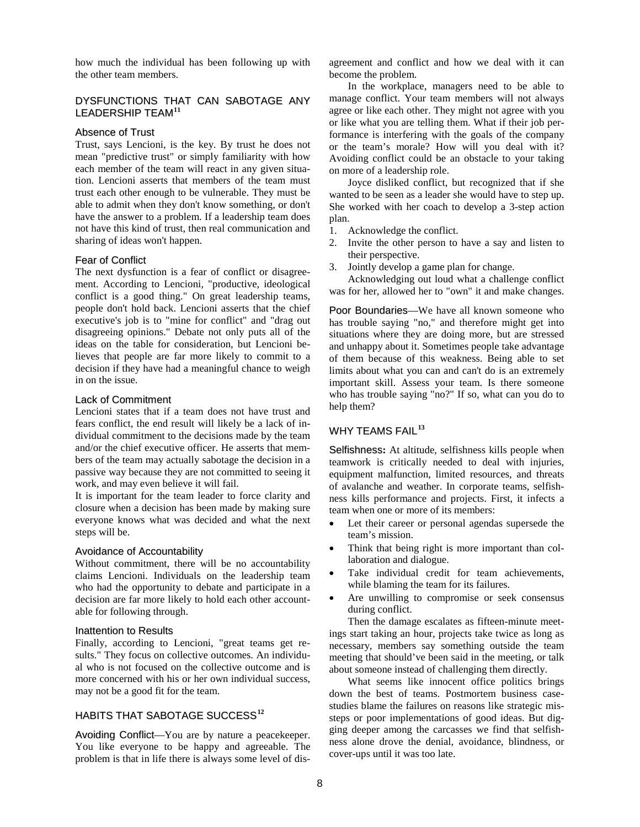how much the individual has been following up with the other team members.

# DYSFUNCTIONS THAT CAN SABOTAGE ANY LEADERSHIP TEAM**[11](#page-9-10)**

#### Absence of Trust

Trust, says Lencioni, is the key. By trust he does not mean "predictive trust" or simply familiarity with how each member of the team will react in any given situation. Lencioni asserts that members of the team must trust each other enough to be vulnerable. They must be able to admit when they don't know something, or don't have the answer to a problem. If a leadership team does not have this kind of trust, then real communication and sharing of ideas won't happen.

#### Fear of Conflict

The next dysfunction is a fear of conflict or disagreement. According to Lencioni, "productive, ideological conflict is a good thing." On great leadership teams, people don't hold back. Lencioni asserts that the chief executive's job is to "mine for conflict" and "drag out disagreeing opinions." Debate not only puts all of the ideas on the table for consideration, but Lencioni believes that people are far more likely to commit to a decision if they have had a meaningful chance to weigh in on the issue.

#### Lack of Commitment

Lencioni states that if a team does not have trust and fears conflict, the end result will likely be a lack of individual commitment to the decisions made by the team and/or the chief executive officer. He asserts that members of the team may actually sabotage the decision in a passive way because they are not committed to seeing it work, and may even believe it will fail.

It is important for the team leader to force clarity and closure when a decision has been made by making sure everyone knows what was decided and what the next steps will be.

#### Avoidance of Accountability

Without commitment, there will be no accountability claims Lencioni. Individuals on the leadership team who had the opportunity to debate and participate in a decision are far more likely to hold each other accountable for following through.

#### Inattention to Results

Finally, according to Lencioni, "great teams get results." They focus on collective outcomes. An individual who is not focused on the collective outcome and is more concerned with his or her own individual success, may not be a good fit for the team.

# HABITS THAT SABOTAGE SUCCESS**[12](#page-9-11)**

Avoiding Conflict—You are by nature a peacekeeper. You like everyone to be happy and agreeable. The problem is that in life there is always some level of disagreement and conflict and how we deal with it can become the problem.

In the workplace, managers need to be able to manage conflict. Your team members will not always agree or like each other. They might not agree with you or like what you are telling them. What if their job performance is interfering with the goals of the company or the team's morale? How will you deal with it? Avoiding conflict could be an obstacle to your taking on more of a leadership role.

Joyce disliked conflict, but recognized that if she wanted to be seen as a leader she would have to step up. She worked with her coach to develop a 3-step action plan.

- 1. Acknowledge the conflict.
- 2. Invite the other person to have a say and listen to their perspective.
- 3. Jointly develop a game plan for change.

Acknowledging out loud what a challenge conflict was for her, allowed her to "own" it and make changes.

Poor Boundaries—We have all known someone who has trouble saying "no," and therefore might get into situations where they are doing more, but are stressed and unhappy about it. Sometimes people take advantage of them because of this weakness. Being able to set limits about what you can and can't do is an extremely important skill. Assess your team. Is there someone who has trouble saying "no?" If so, what can you do to help them?

# WHY TEAMS FAIL**[13](#page-9-12)**

Selfishness**:** At altitude, selfishness kills people when teamwork is critically needed to deal with injuries, equipment malfunction, limited resources, and threats of avalanche and weather. In corporate teams, selfishness kills performance and projects. First, it infects a team when one or more of its members:

- Let their career or personal agendas supersede the team's mission.
- Think that being right is more important than collaboration and dialogue.
- Take individual credit for team achievements, while blaming the team for its failures.
- Are unwilling to compromise or seek consensus during conflict.

Then the damage escalates as fifteen-minute meetings start taking an hour, projects take twice as long as necessary, members say something outside the team meeting that should've been said in the meeting, or talk about someone instead of challenging them directly.

What seems like innocent office politics brings down the best of teams. Postmortem business casestudies blame the failures on reasons like strategic missteps or poor implementations of good ideas. But digging deeper among the carcasses we find that selfishness alone drove the denial, avoidance, blindness, or cover-ups until it was too late.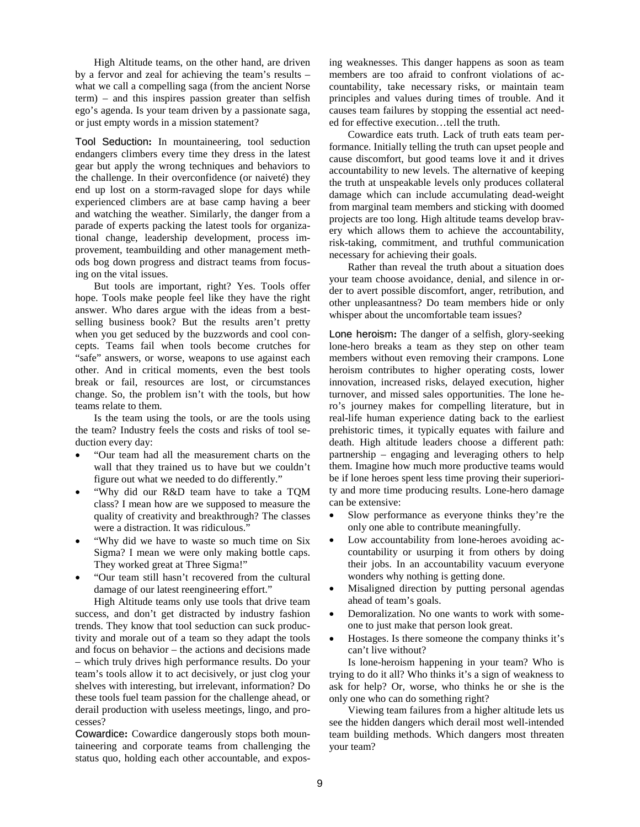High Altitude teams, on the other hand, are driven by a fervor and zeal for achieving the team's results – what we call a compelling saga (from the ancient Norse term) – and this inspires passion greater than selfish ego's agenda. Is your team driven by a passionate saga, or just empty words in a mission statement?

Tool Seduction**:** In mountaineering, tool seduction endangers climbers every time they dress in the latest gear but apply the wrong techniques and behaviors to the challenge. In their overconfidence (or naiveté) they end up lost on a storm-ravaged slope for days while experienced climbers are at base camp having a beer and watching the weather. Similarly, the danger from a parade of experts packing the latest tools for organizational change, leadership development, process improvement, teambuilding and other management methods bog down progress and distract teams from focusing on the vital issues.

But tools are important, right? Yes. Tools offer hope. Tools make people feel like they have the right answer. Who dares argue with the ideas from a bestselling business book? But the results aren't pretty when you get seduced by the buzzwords and cool concepts. Teams fail when tools become crutches for "safe" answers, or worse, weapons to use against each other. And in critical moments, even the best tools break or fail, resources are lost, or circumstances change. So, the problem isn't with the tools, but how teams relate to them.

Is the team using the tools, or are the tools using the team? Industry feels the costs and risks of tool seduction every day:

- "Our team had all the measurement charts on the wall that they trained us to have but we couldn't figure out what we needed to do differently."
- "Why did our R&D team have to take a TQM class? I mean how are we supposed to measure the quality of creativity and breakthrough? The classes were a distraction. It was ridiculous."
- "Why did we have to waste so much time on Six Sigma? I mean we were only making bottle caps. They worked great at Three Sigma!"
- "Our team still hasn't recovered from the cultural damage of our latest reengineering effort."

High Altitude teams only use tools that drive team success, and don't get distracted by industry fashion trends. They know that tool seduction can suck productivity and morale out of a team so they adapt the tools and focus on behavior – the actions and decisions made – which truly drives high performance results. Do your team's tools allow it to act decisively, or just clog your shelves with interesting, but irrelevant, information? Do these tools fuel team passion for the challenge ahead, or derail production with useless meetings, lingo, and processes?

Cowardice**:** Cowardice dangerously stops both mountaineering and corporate teams from challenging the status quo, holding each other accountable, and exposing weaknesses. This danger happens as soon as team members are too afraid to confront violations of accountability, take necessary risks, or maintain team principles and values during times of trouble. And it causes team failures by stopping the essential act needed for effective execution…tell the truth.

Cowardice eats truth. Lack of truth eats team performance. Initially telling the truth can upset people and cause discomfort, but good teams love it and it drives accountability to new levels. The alternative of keeping the truth at unspeakable levels only produces collateral damage which can include accumulating dead-weight from marginal team members and sticking with doomed projects are too long. High altitude teams develop bravery which allows them to achieve the accountability, risk-taking, commitment, and truthful communication necessary for achieving their goals.

Rather than reveal the truth about a situation does your team choose avoidance, denial, and silence in order to avert possible discomfort, anger, retribution, and other unpleasantness? Do team members hide or only whisper about the uncomfortable team issues?

Lone heroism**:** The danger of a selfish, glory-seeking lone-hero breaks a team as they step on other team members without even removing their crampons. Lone heroism contributes to higher operating costs, lower innovation, increased risks, delayed execution, higher turnover, and missed sales opportunities. The lone hero's journey makes for compelling literature, but in real-life human experience dating back to the earliest prehistoric times, it typically equates with failure and death. High altitude leaders choose a different path: partnership – engaging and leveraging others to help them. Imagine how much more productive teams would be if lone heroes spent less time proving their superiority and more time producing results. Lone-hero damage can be extensive:

- Slow performance as everyone thinks they're the only one able to contribute meaningfully.
- Low accountability from lone-heroes avoiding accountability or usurping it from others by doing their jobs. In an accountability vacuum everyone wonders why nothing is getting done.
- Misaligned direction by putting personal agendas ahead of team's goals.
- Demoralization. No one wants to work with someone to just make that person look great.
- Hostages. Is there someone the company thinks it's can't live without?

Is lone-heroism happening in your team? Who is trying to do it all? Who thinks it's a sign of weakness to ask for help? Or, worse, who thinks he or she is the only one who can do something right?

Viewing team failures from a higher altitude lets us see the hidden dangers which derail most well-intended team building methods. Which dangers most threaten your team?